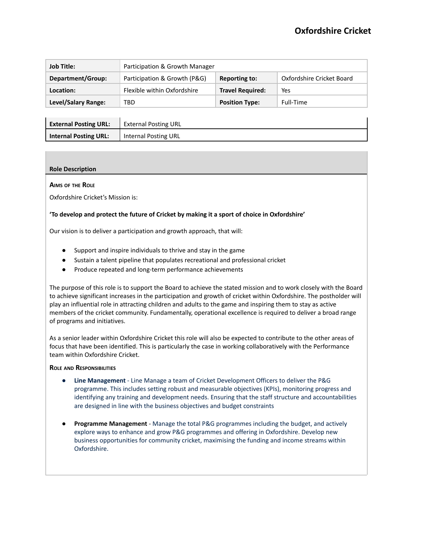| Job Title:          | Participation & Growth Manager |                         |                           |
|---------------------|--------------------------------|-------------------------|---------------------------|
| Department/Group:   | Participation & Growth (P&G)   | <b>Reporting to:</b>    | Oxfordshire Cricket Board |
| Location:           | Flexible within Oxfordshire    | <b>Travel Required:</b> | Yes                       |
| Level/Salary Range: | TBD                            | <b>Position Type:</b>   | Full-Time                 |

| <b>External Posting URL:</b> | <b>External Posting URL</b> |
|------------------------------|-----------------------------|
| <b>Internal Posting URL:</b> | <b>Internal Posting URL</b> |

## **Role Description**

## **AIMS OF THE ROLE**

Oxfordshire Cricket's Mission is:

## **'To develop and protect the future of Cricket by making it a sport of choice in Oxfordshire'**

Our vision is to deliver a participation and growth approach, that will:

- Support and inspire individuals to thrive and stay in the game
- Sustain a talent pipeline that populates recreational and professional cricket
- Produce repeated and long-term performance achievements

The purpose of this role is to support the Board to achieve the stated mission and to work closely with the Board to achieve significant increases in the participation and growth of cricket within Oxfordshire. The postholder will play an influential role in attracting children and adults to the game and inspiring them to stay as active members of the cricket community. Fundamentally, operational excellence is required to deliver a broad range of programs and initiatives.

As a senior leader within Oxfordshire Cricket this role will also be expected to contribute to the other areas of focus that have been identified. This is particularly the case in working collaboratively with the Performance team within Oxfordshire Cricket.

#### **ROLE AND RESPONSIBILITIES**

- **Line Management** Line Manage a team of Cricket Development Officers to deliver the P&G programme. This includes setting robust and measurable objectives (KPIs), monitoring progress and identifying any training and development needs. Ensuring that the staff structure and accountabilities are designed in line with the business objectives and budget constraints
- **Programme Management** Manage the total P&G programmes including the budget, and actively explore ways to enhance and grow P&G programmes and offering in Oxfordshire. Develop new business opportunities for community cricket, maximising the funding and income streams within Oxfordshire.